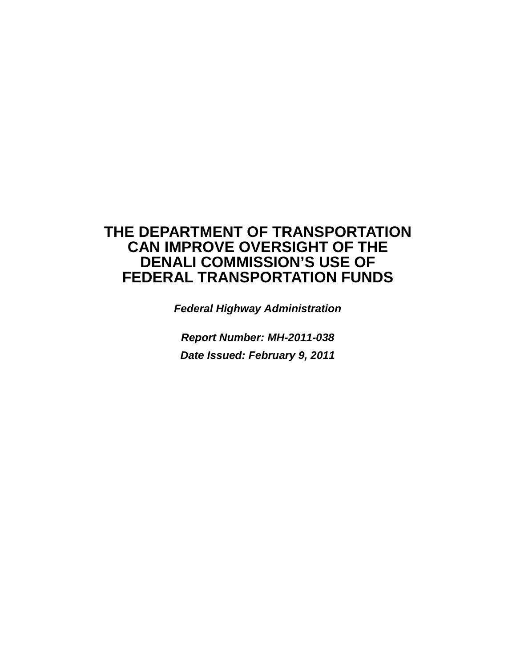# **THE DEPARTMENT OF TRANSPORTATION CAN IMPROVE OVERSIGHT OF THE DENALI COMMISSION'S USE OF FEDERAL TRANSPORTATION FUNDS**

*Federal Highway Administration*

*Report Number: MH-2011-038 Date Issued: February 9, 2011*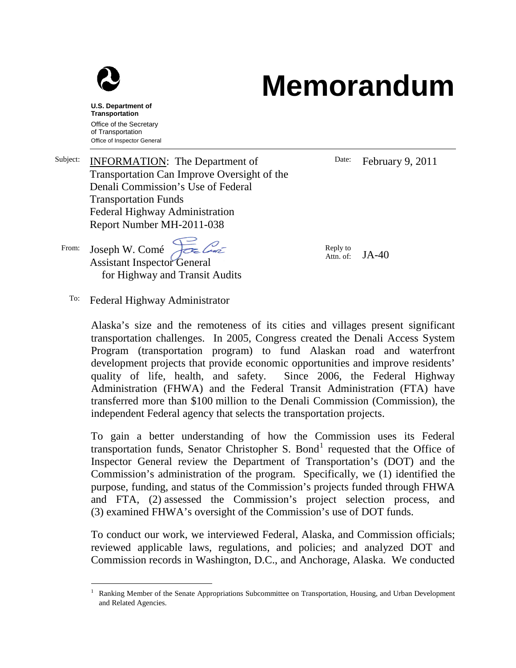

#### **U.S. Department of Transportation** Office of the Secretary of Transportation Office of Inspector General

## Subject: **INFORMATION:** The Department of Transportation Can Improve Oversight of the Denali Commission's Use of Federal Transportation Funds Federal Highway Administration Report Number MH-2011-038

From: Joseph W. Comé Assistant Inspector General for Highway and Transit Audits Date: February 9, 2011

Reply to<br>Attn. of:  $JA-40$ 

**Memorandum**

To: Federal Highway Administrator

Alaska's size and the remoteness of its cities and villages present significant transportation challenges. In 2005, Congress created the Denali Access System Program (transportation program) to fund Alaskan road and waterfront development projects that provide economic opportunities and improve residents' quality of life, health, and safety. Since 2006, the Federal Highway Administration (FHWA) and the Federal Transit Administration (FTA) have transferred more than \$100 million to the Denali Commission (Commission), the independent Federal agency that selects the transportation projects.

To gain a better understanding of how the Commission uses its Federal transportation funds, Senator Christopher S. Bond<sup>[1](#page-1-0)</sup> requested that the Office of Inspector General review the Department of Transportation's (DOT) and the Commission's administration of the program. Specifically, we (1) identified the purpose, funding, and status of the Commission's projects funded through FHWA and FTA, (2) assessed the Commission's project selection process, and (3) examined FHWA's oversight of the Commission's use of DOT funds.

To conduct our work, we interviewed Federal, Alaska, and Commission officials; reviewed applicable laws, regulations, and policies; and analyzed DOT and Commission records in Washington, D.C., and Anchorage, Alaska. We conducted

<span id="page-1-0"></span><sup>&</sup>lt;sup>1</sup> Ranking Member of the Senate Appropriations Subcommittee on Transportation, Housing, and Urban Development and Related Agencies.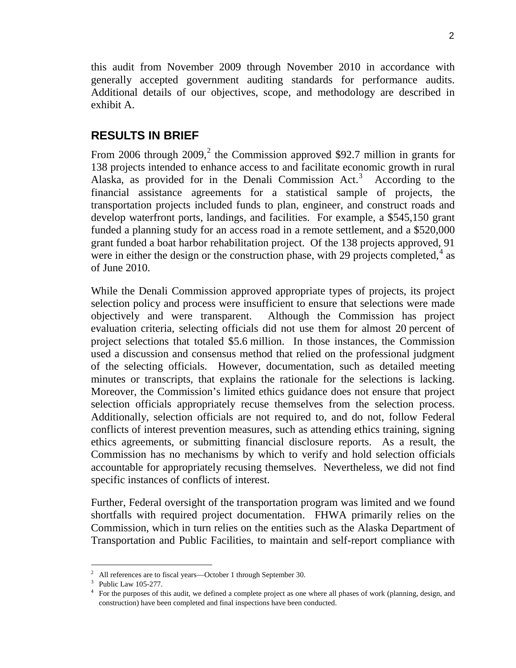this audit from November 2009 through November 2010 in accordance with generally accepted government auditing standards for performance audits. Additional details of our objectives, scope, and methodology are described in exhibit A.

## **RESULTS IN BRIEF**

From [2](#page-2-0)006 through  $2009$ , the Commission approved \$92.7 million in grants for 138 projects intended to enhance access to and facilitate economic growth in rural Alaska, as provided for in the Denali Commission  $Act.^3$  $Act.^3$  According to the financial assistance agreements for a statistical sample of projects, the transportation projects included funds to plan, engineer, and construct roads and develop waterfront ports, landings, and facilities. For example, a \$545,150 grant funded a planning study for an access road in a remote settlement, and a \$520,000 grant funded a boat harbor rehabilitation project. Of the 138 projects approved, 91 were in either the design or the construction phase, with 29 projects completed,<sup>[4](#page-2-2)</sup> as of June 2010.

While the Denali Commission approved appropriate types of projects, its project selection policy and process were insufficient to ensure that selections were made objectively and were transparent. Although the Commission has project evaluation criteria, selecting officials did not use them for almost 20 percent of project selections that totaled \$5.6 million. In those instances, the Commission used a discussion and consensus method that relied on the professional judgment of the selecting officials. However, documentation, such as detailed meeting minutes or transcripts, that explains the rationale for the selections is lacking. Moreover, the Commission's limited ethics guidance does not ensure that project selection officials appropriately recuse themselves from the selection process. Additionally, selection officials are not required to, and do not, follow Federal conflicts of interest prevention measures, such as attending ethics training, signing ethics agreements, or submitting financial disclosure reports. As a result, the Commission has no mechanisms by which to verify and hold selection officials accountable for appropriately recusing themselves. Nevertheless, we did not find specific instances of conflicts of interest.

Further, Federal oversight of the transportation program was limited and we found shortfalls with required project documentation. FHWA primarily relies on the Commission, which in turn relies on the entities such as the Alaska Department of Transportation and Public Facilities, to maintain and self-report compliance with

<span id="page-2-0"></span><sup>&</sup>lt;sup>2</sup> All references are to fiscal years—October 1 through September 30.

Public Law 105-277.

<span id="page-2-2"></span><span id="page-2-1"></span><sup>&</sup>lt;sup>4</sup> For the purposes of this audit, we defined a complete project as one where all phases of work (planning, design, and construction) have been completed and final inspections have been conducted.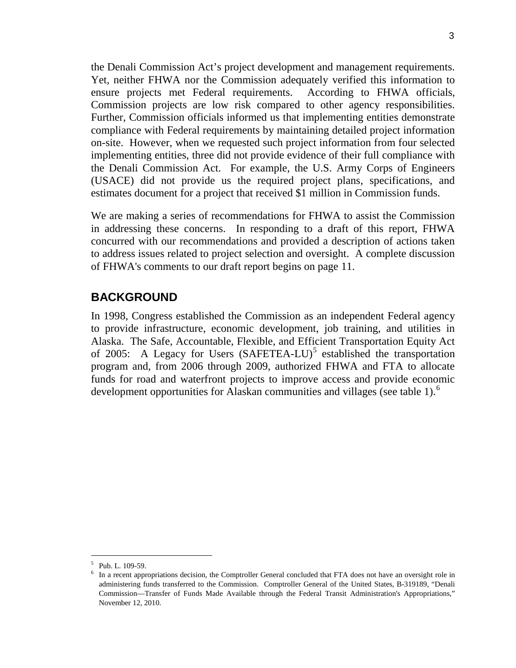the Denali Commission Act's project development and management requirements. Yet, neither FHWA nor the Commission adequately verified this information to ensure projects met Federal requirements. According to FHWA officials, Commission projects are low risk compared to other agency responsibilities. Further, Commission officials informed us that implementing entities demonstrate compliance with Federal requirements by maintaining detailed project information on-site. However, when we requested such project information from four selected implementing entities, three did not provide evidence of their full compliance with the Denali Commission Act. For example, the U.S. Army Corps of Engineers (USACE) did not provide us the required project plans, specifications, and estimates document for a project that received \$1 million in Commission funds.

We are making a series of recommendations for FHWA to assist the Commission in addressing these concerns. In responding to a draft of this report, FHWA concurred with our recommendations and provided a description of actions taken to address issues related to project selection and oversight. A complete discussion of FHWA's comments to our draft report begins on page 11.

## **BACKGROUND**

In 1998, Congress established the Commission as an independent Federal agency to provide infrastructure, economic development, job training, and utilities in Alaska. The Safe, Accountable, Flexible, and Efficient Transportation Equity Act of 200[5](#page-3-0): A Legacy for Users  $(Sע $FETEA-LU)^5$  established the transportation$ program and, from 2006 through 2009, authorized FHWA and FTA to allocate funds for road and waterfront projects to improve access and provide economic development opportunities for Alaskan communities and villages (see table 1).<sup>[6](#page-3-1)</sup>

<span id="page-3-0"></span> <sup>5</sup> Pub. L. 109-59.

<span id="page-3-1"></span> $6\;$  In a recent appropriations decision, the Comptroller General concluded that FTA does not have an oversight role in administering funds transferred to the Commission. Comptroller General of the United States, B-319189, "Denali Commission—Transfer of Funds Made Available through the Federal Transit Administration's Appropriations," November 12, 2010.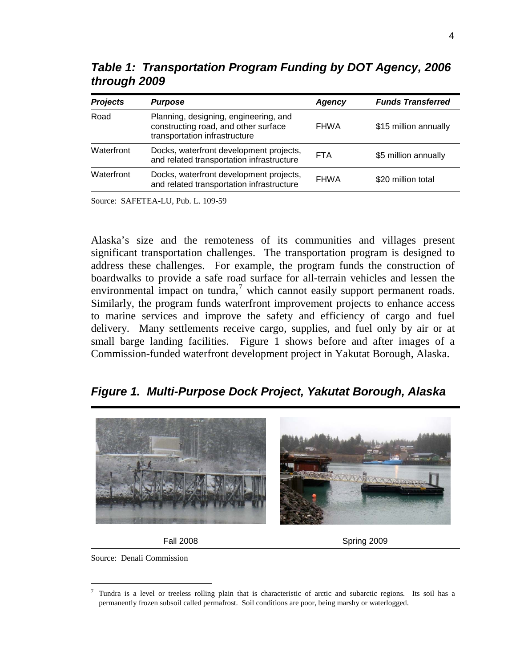| <b>Projects</b> | <b>Purpose</b>                                                                                                 | Agency      | <b>Funds Transferred</b> |
|-----------------|----------------------------------------------------------------------------------------------------------------|-------------|--------------------------|
| Road            | Planning, designing, engineering, and<br>constructing road, and other surface<br>transportation infrastructure | <b>FHWA</b> | \$15 million annually    |
| Waterfront      | Docks, waterfront development projects,<br>and related transportation infrastructure                           | <b>FTA</b>  | \$5 million annually     |
| Waterfront      | Docks, waterfront development projects,<br>and related transportation infrastructure                           | <b>FHWA</b> | \$20 million total       |

*Table 1: Transportation Program Funding by DOT Agency, 2006 through 2009*

Source: SAFETEA-LU, Pub. L. 109-59

Alaska's size and the remoteness of its communities and villages present significant transportation challenges. The transportation program is designed to address these challenges. For example, the program funds the construction of boardwalks to provide a safe road surface for all-terrain vehicles and lessen the environmental impact on tundra, $\alpha$ <sup>[7](#page-4-0)</sup> which cannot easily support permanent roads. Similarly, the program funds waterfront improvement projects to enhance access to marine services and improve the safety and efficiency of cargo and fuel delivery. Many settlements receive cargo, supplies, and fuel only by air or at small barge landing facilities. Figure 1 shows before and after images of a Commission-funded waterfront development project in Yakutat Borough, Alaska.

*Figure 1. Multi-Purpose Dock Project, Yakutat Borough, Alaska*





Fall 2008 Spring 2009

Source: Denali Commission

<span id="page-4-0"></span> $7$  Tundra is a level or treeless rolling plain that is characteristic of arctic and subarctic regions. Its soil has a permanently frozen subsoil called permafrost. Soil conditions are poor, being marshy or waterlogged.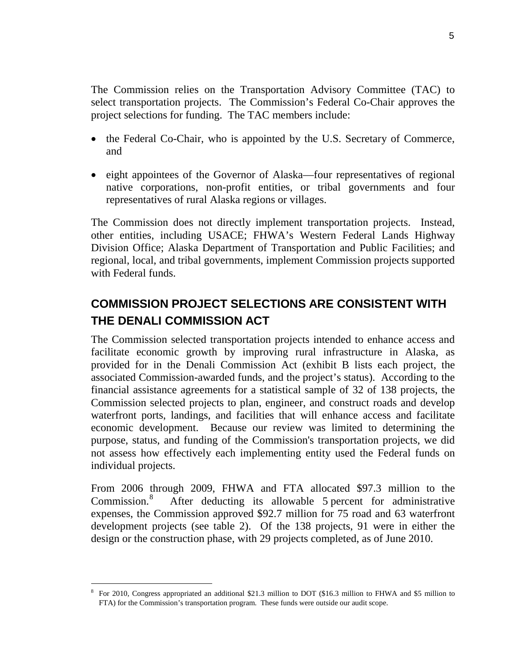The Commission relies on the Transportation Advisory Committee (TAC) to select transportation projects. The Commission's Federal Co-Chair approves the project selections for funding. The TAC members include:

- the Federal Co-Chair, who is appointed by the U.S. Secretary of Commerce, and
- eight appointees of the Governor of Alaska—four representatives of regional native corporations, non-profit entities, or tribal governments and four representatives of rural Alaska regions or villages.

The Commission does not directly implement transportation projects. Instead, other entities, including USACE; FHWA's Western Federal Lands Highway Division Office; Alaska Department of Transportation and Public Facilities; and regional, local, and tribal governments, implement Commission projects supported with Federal funds.

## **COMMISSION PROJECT SELECTIONS ARE CONSISTENT WITH THE DENALI COMMISSION ACT**

The Commission selected transportation projects intended to enhance access and facilitate economic growth by improving rural infrastructure in Alaska, as provided for in the Denali Commission Act (exhibit B lists each project, the associated Commission-awarded funds, and the project's status). According to the financial assistance agreements for a statistical sample of 32 of 138 projects, the Commission selected projects to plan, engineer, and construct roads and develop waterfront ports, landings, and facilities that will enhance access and facilitate economic development. Because our review was limited to determining the purpose, status, and funding of the Commission's transportation projects, we did not assess how effectively each implementing entity used the Federal funds on individual projects.

From 2006 through 2009, FHWA and FTA allocated \$97.3 million to the Commission.<sup>[8](#page-5-0)</sup> After deducting its allowable 5 percent for administrative expenses, the Commission approved \$92.7 million for 75 road and 63 waterfront development projects (see table 2). Of the 138 projects, 91 were in either the design or the construction phase, with 29 projects completed, as of June 2010.

<span id="page-5-0"></span> <sup>8</sup> For 2010, Congress appropriated an additional \$21.3 million to DOT (\$16.3 million to FHWA and \$5 million to FTA) for the Commission's transportation program. These funds were outside our audit scope.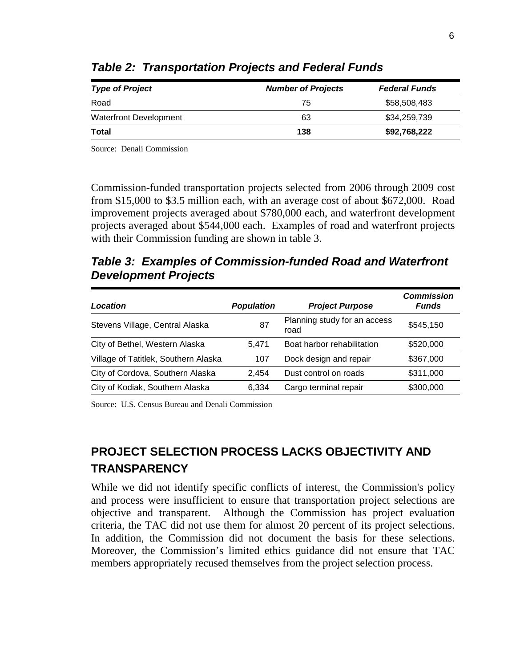| <b>Type of Project</b> | <b>Number of Projects</b> | <b>Federal Funds</b> |
|------------------------|---------------------------|----------------------|
| Road                   | 75                        | \$58,508,483         |
| Waterfront Development | 63                        | \$34,259,739         |
| <b>Total</b>           | 138                       | \$92,768,222         |

*Table 2: Transportation Projects and Federal Funds*

Source: Denali Commission

Commission-funded transportation projects selected from 2006 through 2009 cost from \$15,000 to \$3.5 million each, with an average cost of about \$672,000. Road improvement projects averaged about \$780,000 each, and waterfront development projects averaged about \$544,000 each. Examples of road and waterfront projects with their Commission funding are shown in table 3.

*Table 3: Examples of Commission-funded Road and Waterfront Development Projects*

| Location                             | <b>Population</b> | <b>Project Purpose</b>               | <b>Commission</b><br><b>Funds</b> |
|--------------------------------------|-------------------|--------------------------------------|-----------------------------------|
| Stevens Village, Central Alaska      | 87                | Planning study for an access<br>road | \$545,150                         |
| City of Bethel, Western Alaska       | 5.471             | Boat harbor rehabilitation           | \$520,000                         |
| Village of Tatitlek, Southern Alaska | 107               | Dock design and repair               | \$367,000                         |
| City of Cordova, Southern Alaska     | 2.454             | Dust control on roads                | \$311,000                         |
| City of Kodiak, Southern Alaska      | 6.334             | Cargo terminal repair                | \$300,000                         |

Source: U.S. Census Bureau and Denali Commission

# **PROJECT SELECTION PROCESS LACKS OBJECTIVITY AND TRANSPARENCY**

While we did not identify specific conflicts of interest, the Commission's policy and process were insufficient to ensure that transportation project selections are objective and transparent. Although the Commission has project evaluation criteria, the TAC did not use them for almost 20 percent of its project selections. In addition, the Commission did not document the basis for these selections. Moreover, the Commission's limited ethics guidance did not ensure that TAC members appropriately recused themselves from the project selection process.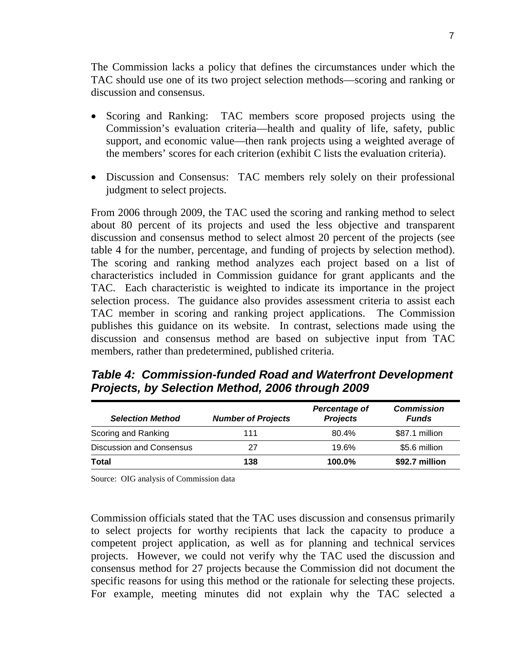The Commission lacks a policy that defines the circumstances under which the TAC should use one of its two project selection methods—scoring and ranking or discussion and consensus.

- Scoring and Ranking: TAC members score proposed projects using the Commission's evaluation criteria—health and quality of life, safety, public support, and economic value—then rank projects using a weighted average of the members' scores for each criterion (exhibit C lists the evaluation criteria).
- Discussion and Consensus: TAC members rely solely on their professional judgment to select projects.

From 2006 through 2009, the TAC used the scoring and ranking method to select about 80 percent of its projects and used the less objective and transparent discussion and consensus method to select almost 20 percent of the projects (see table 4 for the number, percentage, and funding of projects by selection method). The scoring and ranking method analyzes each project based on a list of characteristics included in Commission guidance for grant applicants and the TAC. Each characteristic is weighted to indicate its importance in the project selection process. The guidance also provides assessment criteria to assist each TAC member in scoring and ranking project applications. The Commission publishes this guidance on its website. In contrast, selections made using the discussion and consensus method are based on subjective input from TAC members, rather than predetermined, published criteria.

*Table 4: Commission-funded Road and Waterfront Development Projects, by Selection Method, 2006 through 2009*

| <b>Selection Method</b>         | <b>Number of Projects</b> | Percentage of<br><b>Projects</b> | <b>Commission</b><br><b>Funds</b> |
|---------------------------------|---------------------------|----------------------------------|-----------------------------------|
| Scoring and Ranking             | 111                       | $80.4\%$                         | \$87.1 million                    |
| <b>Discussion and Consensus</b> | 27                        | 19.6%                            | \$5.6 million                     |
| Total                           | 138                       | $100.0\%$                        | \$92.7 million                    |

Source: OIG analysis of Commission data

Commission officials stated that the TAC uses discussion and consensus primarily to select projects for worthy recipients that lack the capacity to produce a competent project application, as well as for planning and technical services projects. However, we could not verify why the TAC used the discussion and consensus method for 27 projects because the Commission did not document the specific reasons for using this method or the rationale for selecting these projects. For example, meeting minutes did not explain why the TAC selected a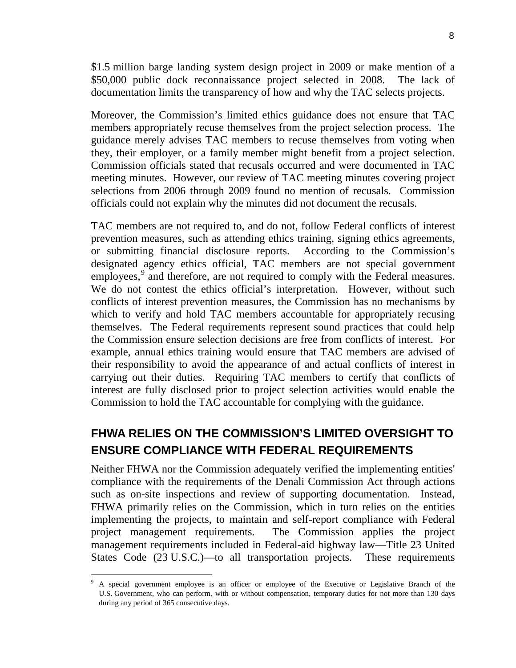\$1.5 million barge landing system design project in 2009 or make mention of a \$50,000 public dock reconnaissance project selected in 2008. The lack of documentation limits the transparency of how and why the TAC selects projects.

Moreover, the Commission's limited ethics guidance does not ensure that TAC members appropriately recuse themselves from the project selection process. The guidance merely advises TAC members to recuse themselves from voting when they, their employer, or a family member might benefit from a project selection. Commission officials stated that recusals occurred and were documented in TAC meeting minutes. However, our review of TAC meeting minutes covering project selections from 2006 through 2009 found no mention of recusals. Commission officials could not explain why the minutes did not document the recusals.

TAC members are not required to, and do not, follow Federal conflicts of interest prevention measures, such as attending ethics training, signing ethics agreements, or submitting financial disclosure reports. According to the Commission's designated agency ethics official, TAC members are not special government employees,<sup>[9](#page-8-0)</sup> and therefore, are not required to comply with the Federal measures. We do not contest the ethics official's interpretation. However, without such conflicts of interest prevention measures, the Commission has no mechanisms by which to verify and hold TAC members accountable for appropriately recusing themselves. The Federal requirements represent sound practices that could help the Commission ensure selection decisions are free from conflicts of interest. For example, annual ethics training would ensure that TAC members are advised of their responsibility to avoid the appearance of and actual conflicts of interest in carrying out their duties. Requiring TAC members to certify that conflicts of interest are fully disclosed prior to project selection activities would enable the Commission to hold the TAC accountable for complying with the guidance.

## **FHWA RELIES ON THE COMMISSION'S LIMITED OVERSIGHT TO ENSURE COMPLIANCE WITH FEDERAL REQUIREMENTS**

Neither FHWA nor the Commission adequately verified the implementing entities' compliance with the requirements of the Denali Commission Act through actions such as on-site inspections and review of supporting documentation. Instead, FHWA primarily relies on the Commission, which in turn relies on the entities implementing the projects, to maintain and self-report compliance with Federal project management requirements. The Commission applies the project management requirements included in Federal-aid highway law—Title 23 United States Code (23 U.S.C.)—to all transportation projects. These requirements

<span id="page-8-0"></span> <sup>9</sup> A special government employee is an officer or employee of the Executive or Legislative Branch of the U.S. Government, who can perform, with or without compensation, temporary duties for not more than 130 days during any period of 365 consecutive days.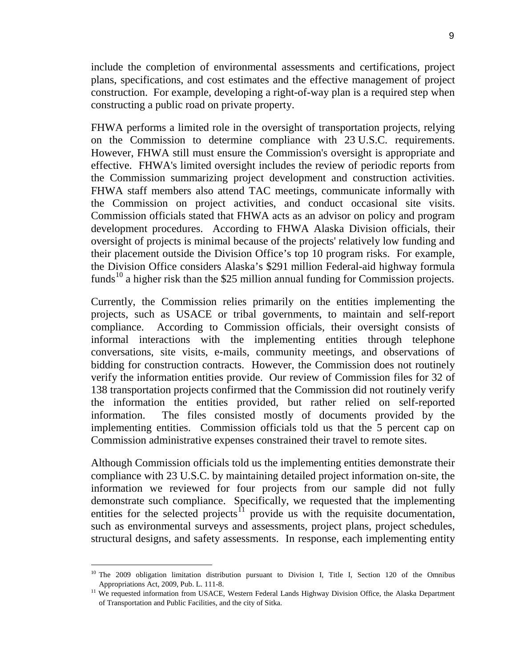include the completion of environmental assessments and certifications, project plans, specifications, and cost estimates and the effective management of project construction. For example, developing a right-of-way plan is a required step when constructing a public road on private property.

FHWA performs a limited role in the oversight of transportation projects, relying on the Commission to determine compliance with 23 U.S.C. requirements. However, FHWA still must ensure the Commission's oversight is appropriate and effective. FHWA's limited oversight includes the review of periodic reports from the Commission summarizing project development and construction activities. FHWA staff members also attend TAC meetings, communicate informally with the Commission on project activities, and conduct occasional site visits. Commission officials stated that FHWA acts as an advisor on policy and program development procedures. According to FHWA Alaska Division officials, their oversight of projects is minimal because of the projects' relatively low funding and their placement outside the Division Office's top 10 program risks. For example, the Division Office considers Alaska's \$291 million Federal-aid highway formula funds<sup>[10](#page-9-0)</sup> a higher risk than the \$25 million annual funding for Commission projects.

Currently, the Commission relies primarily on the entities implementing the projects, such as USACE or tribal governments, to maintain and self-report compliance. According to Commission officials, their oversight consists of informal interactions with the implementing entities through telephone conversations, site visits, e-mails, community meetings, and observations of bidding for construction contracts. However, the Commission does not routinely verify the information entities provide. Our review of Commission files for 32 of 138 transportation projects confirmed that the Commission did not routinely verify the information the entities provided, but rather relied on self-reported information. The files consisted mostly of documents provided by the implementing entities. Commission officials told us that the 5 percent cap on Commission administrative expenses constrained their travel to remote sites.

Although Commission officials told us the implementing entities demonstrate their compliance with 23 U.S.C. by maintaining detailed project information on-site, the information we reviewed for four projects from our sample did not fully demonstrate such compliance. Specifically, we requested that the implementing entities for the selected projects<sup> $\overline{1}$ </sup> provide us with the requisite documentation, such as environmental surveys and assessments, project plans, project schedules, structural designs, and safety assessments. In response, each implementing entity

<span id="page-9-0"></span><sup>&</sup>lt;sup>10</sup> The 2009 obligation limitation distribution pursuant to Division I, Title I, Section 120 of the Omnibus Appropriations Act, 2009, Pub. L. 111-8.

<span id="page-9-1"></span><sup>&</sup>lt;sup>11</sup> We requested information from USACE, Western Federal Lands Highway Division Office, the Alaska Department of Transportation and Public Facilities, and the city of Sitka.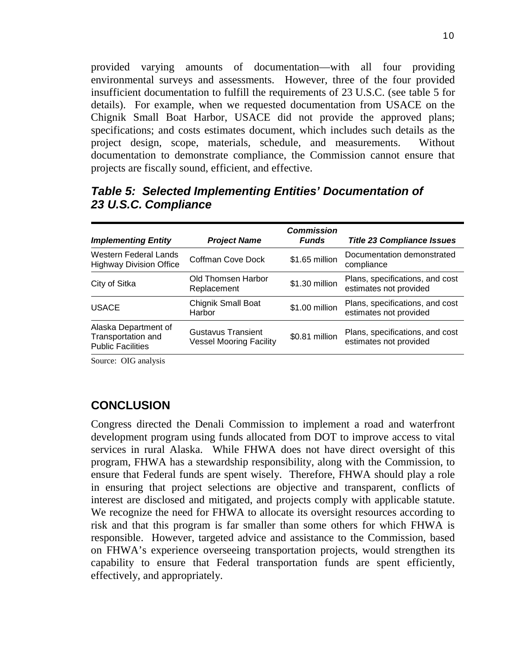provided varying amounts of documentation—with all four providing environmental surveys and assessments. However, three of the four provided insufficient documentation to fulfill the requirements of 23 U.S.C. (see table 5 for details). For example, when we requested documentation from USACE on the Chignik Small Boat Harbor, USACE did not provide the approved plans; specifications; and costs estimates document, which includes such details as the project design, scope, materials, schedule, and measurements. Without documentation to demonstrate compliance, the Commission cannot ensure that projects are fiscally sound, efficient, and effective.

| <b>Implementing Entity</b>                                             | <b>Project Name</b>                           | <b>Commission</b><br><b>Funds</b> | <b>Title 23 Compliance Issues</b>                         |
|------------------------------------------------------------------------|-----------------------------------------------|-----------------------------------|-----------------------------------------------------------|
| Western Federal Lands<br><b>Highway Division Office</b>                | Coffman Cove Dock                             | \$1.65 million                    | Documentation demonstrated<br>compliance                  |
| City of Sitka                                                          | Old Thomsen Harbor<br>Replacement             | \$1.30 million                    | Plans, specifications, and cost<br>estimates not provided |
| <b>USACE</b>                                                           | <b>Chignik Small Boat</b><br>Harbor           | \$1.00 million                    | Plans, specifications, and cost<br>estimates not provided |
| Alaska Department of<br>Transportation and<br><b>Public Facilities</b> | Gustavus Transient<br>Vessel Mooring Facility | \$0.81 million                    | Plans, specifications, and cost<br>estimates not provided |

## *Table 5: Selected Implementing Entities' Documentation of 23 U.S.C. Compliance*

Source: OIG analysis

## **CONCLUSION**

Congress directed the Denali Commission to implement a road and waterfront development program using funds allocated from DOT to improve access to vital services in rural Alaska. While FHWA does not have direct oversight of this program, FHWA has a stewardship responsibility, along with the Commission, to ensure that Federal funds are spent wisely. Therefore, FHWA should play a role in ensuring that project selections are objective and transparent, conflicts of interest are disclosed and mitigated, and projects comply with applicable statute. We recognize the need for FHWA to allocate its oversight resources according to risk and that this program is far smaller than some others for which FHWA is responsible. However, targeted advice and assistance to the Commission, based on FHWA's experience overseeing transportation projects, would strengthen its capability to ensure that Federal transportation funds are spent efficiently, effectively, and appropriately.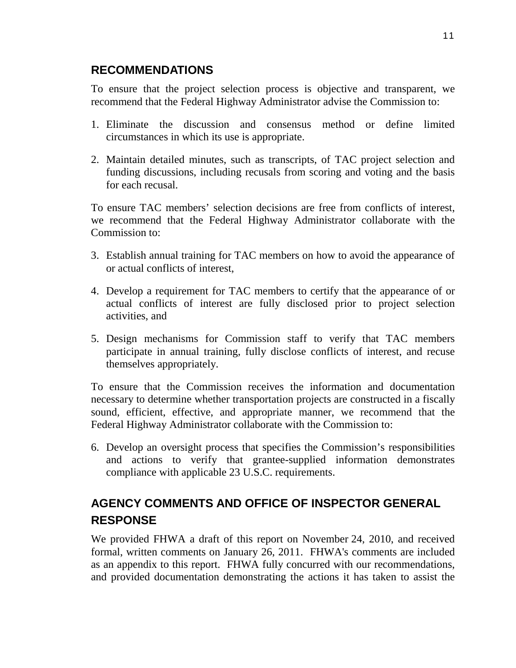## **RECOMMENDATIONS**

To ensure that the project selection process is objective and transparent, we recommend that the Federal Highway Administrator advise the Commission to:

- 1. Eliminate the discussion and consensus method or define limited circumstances in which its use is appropriate.
- 2. Maintain detailed minutes, such as transcripts, of TAC project selection and funding discussions, including recusals from scoring and voting and the basis for each recusal.

To ensure TAC members' selection decisions are free from conflicts of interest, we recommend that the Federal Highway Administrator collaborate with the Commission to:

- 3. Establish annual training for TAC members on how to avoid the appearance of or actual conflicts of interest,
- 4. Develop a requirement for TAC members to certify that the appearance of or actual conflicts of interest are fully disclosed prior to project selection activities, and
- 5. Design mechanisms for Commission staff to verify that TAC members participate in annual training, fully disclose conflicts of interest, and recuse themselves appropriately.

To ensure that the Commission receives the information and documentation necessary to determine whether transportation projects are constructed in a fiscally sound, efficient, effective, and appropriate manner, we recommend that the Federal Highway Administrator collaborate with the Commission to:

6. Develop an oversight process that specifies the Commission's responsibilities and actions to verify that grantee-supplied information demonstrates compliance with applicable 23 U.S.C. requirements.

# **AGENCY COMMENTS AND OFFICE OF INSPECTOR GENERAL RESPONSE**

We provided FHWA a draft of this report on November 24, 2010, and received formal, written comments on January 26, 2011. FHWA's comments are included as an appendix to this report. FHWA fully concurred with our recommendations, and provided documentation demonstrating the actions it has taken to assist the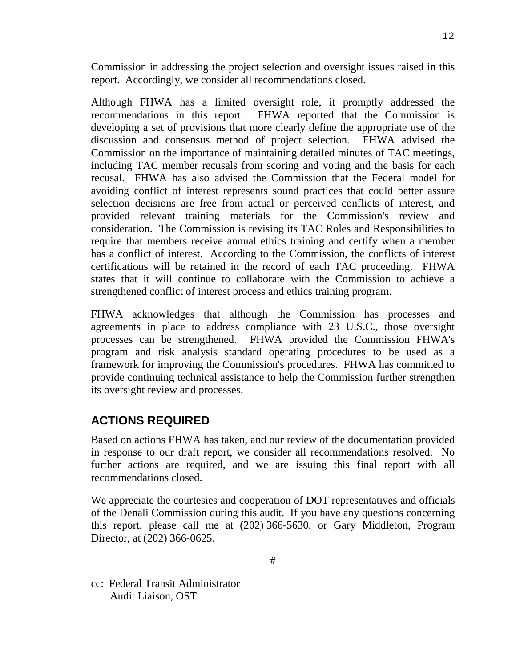Commission in addressing the project selection and oversight issues raised in this report. Accordingly, we consider all recommendations closed.

Although FHWA has a limited oversight role, it promptly addressed the recommendations in this report. FHWA reported that the Commission is developing a set of provisions that more clearly define the appropriate use of the discussion and consensus method of project selection. FHWA advised the Commission on the importance of maintaining detailed minutes of TAC meetings, including TAC member recusals from scoring and voting and the basis for each recusal. FHWA has also advised the Commission that the Federal model for avoiding conflict of interest represents sound practices that could better assure selection decisions are free from actual or perceived conflicts of interest, and provided relevant training materials for the Commission's review and consideration. The Commission is revising its TAC Roles and Responsibilities to require that members receive annual ethics training and certify when a member has a conflict of interest. According to the Commission, the conflicts of interest certifications will be retained in the record of each TAC proceeding. FHWA states that it will continue to collaborate with the Commission to achieve a strengthened conflict of interest process and ethics training program.

FHWA acknowledges that although the Commission has processes and agreements in place to address compliance with 23 U.S.C., those oversight processes can be strengthened. FHWA provided the Commission FHWA's program and risk analysis standard operating procedures to be used as a framework for improving the Commission's procedures. FHWA has committed to provide continuing technical assistance to help the Commission further strengthen its oversight review and processes.

## **ACTIONS REQUIRED**

Based on actions FHWA has taken, and our review of the documentation provided in response to our draft report, we consider all recommendations resolved. No further actions are required, and we are issuing this final report with all recommendations closed.

We appreciate the courtesies and cooperation of DOT representatives and officials of the Denali Commission during this audit. If you have any questions concerning this report, please call me at (202) 366-5630, or Gary Middleton, Program Director, at (202) 366-0625.

cc: Federal Transit Administrator Audit Liaison, OST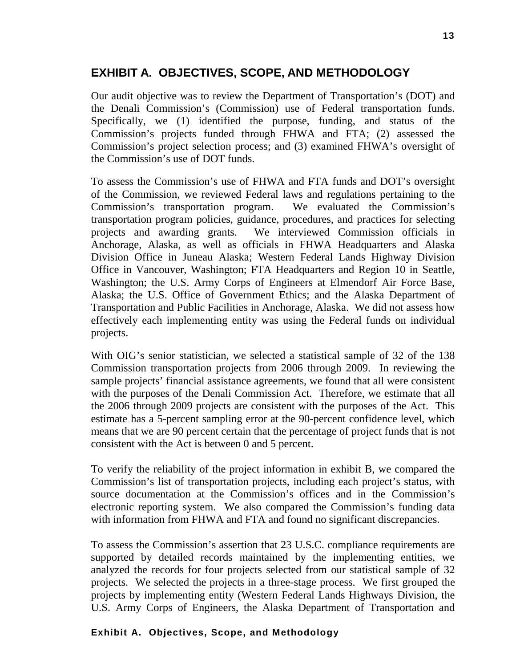## **EXHIBIT A. OBJECTIVES, SCOPE, AND METHODOLOGY**

Our audit objective was to review the Department of Transportation's (DOT) and the Denali Commission's (Commission) use of Federal transportation funds. Specifically, we (1) identified the purpose, funding, and status of the Commission's projects funded through FHWA and FTA; (2) assessed the Commission's project selection process; and (3) examined FHWA's oversight of the Commission's use of DOT funds.

To assess the Commission's use of FHWA and FTA funds and DOT's oversight of the Commission, we reviewed Federal laws and regulations pertaining to the Commission's transportation program. We evaluated the Commission's transportation program policies, guidance, procedures, and practices for selecting projects and awarding grants. We interviewed Commission officials in Anchorage, Alaska, as well as officials in FHWA Headquarters and Alaska Division Office in Juneau Alaska; Western Federal Lands Highway Division Office in Vancouver, Washington; FTA Headquarters and Region 10 in Seattle, Washington; the U.S. Army Corps of Engineers at Elmendorf Air Force Base, Alaska; the U.S. Office of Government Ethics; and the Alaska Department of Transportation and Public Facilities in Anchorage, Alaska. We did not assess how effectively each implementing entity was using the Federal funds on individual projects.

With OIG's senior statistician, we selected a statistical sample of 32 of the 138 Commission transportation projects from 2006 through 2009. In reviewing the sample projects' financial assistance agreements, we found that all were consistent with the purposes of the Denali Commission Act. Therefore, we estimate that all the 2006 through 2009 projects are consistent with the purposes of the Act. This estimate has a 5-percent sampling error at the 90-percent confidence level, which means that we are 90 percent certain that the percentage of project funds that is not consistent with the Act is between 0 and 5 percent.

To verify the reliability of the project information in exhibit B, we compared the Commission's list of transportation projects, including each project's status, with source documentation at the Commission's offices and in the Commission's electronic reporting system. We also compared the Commission's funding data with information from FHWA and FTA and found no significant discrepancies.

To assess the Commission's assertion that 23 U.S.C. compliance requirements are supported by detailed records maintained by the implementing entities, we analyzed the records for four projects selected from our statistical sample of 32 projects. We selected the projects in a three-stage process. We first grouped the projects by implementing entity (Western Federal Lands Highways Division, the U.S. Army Corps of Engineers, the Alaska Department of Transportation and

#### **Exhibit A. Objectives, Scope, and Methodology**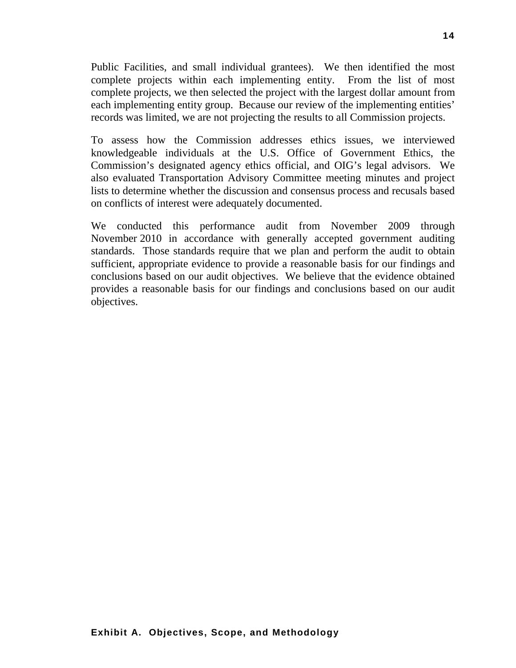Public Facilities, and small individual grantees). We then identified the most complete projects within each implementing entity. From the list of most complete projects, we then selected the project with the largest dollar amount from each implementing entity group. Because our review of the implementing entities' records was limited, we are not projecting the results to all Commission projects.

To assess how the Commission addresses ethics issues, we interviewed knowledgeable individuals at the U.S. Office of Government Ethics, the Commission's designated agency ethics official, and OIG's legal advisors. We also evaluated Transportation Advisory Committee meeting minutes and project lists to determine whether the discussion and consensus process and recusals based on conflicts of interest were adequately documented.

We conducted this performance audit from November 2009 through November 2010 in accordance with generally accepted government auditing standards. Those standards require that we plan and perform the audit to obtain sufficient, appropriate evidence to provide a reasonable basis for our findings and conclusions based on our audit objectives. We believe that the evidence obtained provides a reasonable basis for our findings and conclusions based on our audit objectives.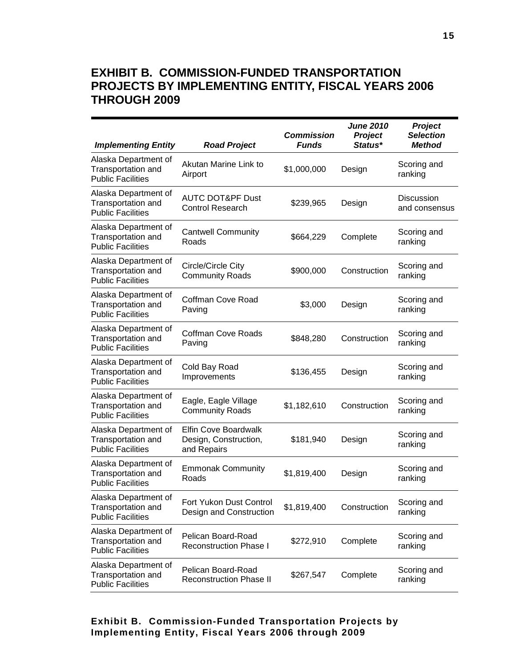## **EXHIBIT B. COMMISSION-FUNDED TRANSPORTATION PROJECTS BY IMPLEMENTING ENTITY, FISCAL YEARS 2006 THROUGH 2009**

| <b>Implementing Entity</b>                                                    | <b>Road Project</b>                                          | <b>Commission</b><br><b>Funds</b> | <b>June 2010</b><br>Project<br>Status* | Project<br><b>Selection</b><br><b>Method</b> |
|-------------------------------------------------------------------------------|--------------------------------------------------------------|-----------------------------------|----------------------------------------|----------------------------------------------|
| Alaska Department of<br>Transportation and<br><b>Public Facilities</b>        | Akutan Marine Link to<br>Airport                             | \$1,000,000                       | Design                                 | Scoring and<br>ranking                       |
| Alaska Department of<br>Transportation and<br><b>Public Facilities</b>        | <b>AUTC DOT&amp;PF Dust</b><br><b>Control Research</b>       | \$239,965                         | Design                                 | <b>Discussion</b><br>and consensus           |
| Alaska Department of<br>Transportation and<br><b>Public Facilities</b>        | <b>Cantwell Community</b><br>Roads                           | \$664,229                         | Complete                               | Scoring and<br>ranking                       |
| Alaska Department of<br>Transportation and<br><b>Public Facilities</b>        | Circle/Circle City<br><b>Community Roads</b>                 | \$900,000                         | Construction                           | Scoring and<br>ranking                       |
| Alaska Department of<br>Transportation and<br><b>Public Facilities</b>        | Coffman Cove Road<br>Paving                                  | \$3,000                           | Design                                 | Scoring and<br>ranking                       |
| Alaska Department of<br><b>Transportation and</b><br><b>Public Facilities</b> | <b>Coffman Cove Roads</b><br>Paving                          | \$848,280                         | Construction                           | Scoring and<br>ranking                       |
| Alaska Department of<br>Transportation and<br><b>Public Facilities</b>        | Cold Bay Road<br>Improvements                                | \$136,455                         | Design                                 | Scoring and<br>ranking                       |
| Alaska Department of<br>Transportation and<br><b>Public Facilities</b>        | Eagle, Eagle Village<br><b>Community Roads</b>               | \$1,182,610                       | Construction                           | Scoring and<br>ranking                       |
| Alaska Department of<br>Transportation and<br><b>Public Facilities</b>        | Elfin Cove Boardwalk<br>Design, Construction,<br>and Repairs | \$181,940                         | Design                                 | Scoring and<br>ranking                       |
| Alaska Department of<br>Transportation and<br><b>Public Facilities</b>        | <b>Emmonak Community</b><br>Roads                            | \$1,819,400                       | Design                                 | Scoring and<br>ranking                       |
| Alaska Department of<br>Transportation and<br><b>Public Facilities</b>        | Fort Yukon Dust Control<br>Design and Construction           | \$1,819,400                       | Construction                           | Scoring and<br>ranking                       |
| Alaska Department of<br>Transportation and<br><b>Public Facilities</b>        | Pelican Board-Road<br><b>Reconstruction Phase I</b>          | \$272,910                         | Complete                               | Scoring and<br>ranking                       |
| Alaska Department of<br>Transportation and<br><b>Public Facilities</b>        | Pelican Board-Road<br><b>Reconstruction Phase II</b>         | \$267,547                         | Complete                               | Scoring and<br>ranking                       |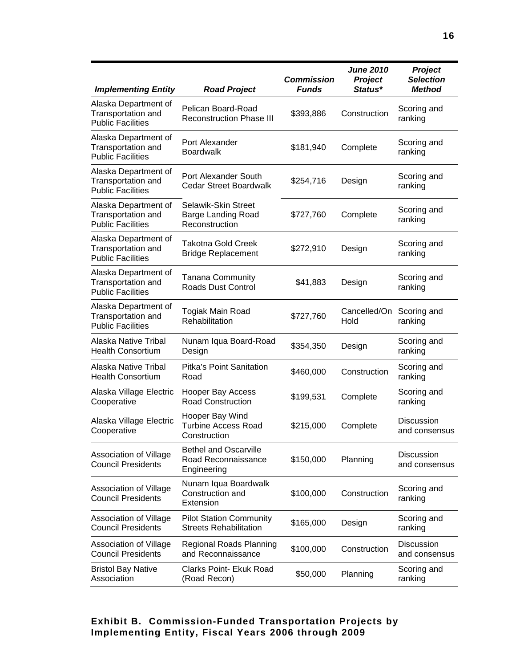| <b>Implementing Entity</b>                                                    | <b>Road Project</b>                                                | <b>Commission</b><br><b>Funds</b> | <b>June 2010</b><br><b>Project</b><br>Status* | <b>Project</b><br><b>Selection</b><br><b>Method</b> |
|-------------------------------------------------------------------------------|--------------------------------------------------------------------|-----------------------------------|-----------------------------------------------|-----------------------------------------------------|
| Alaska Department of<br><b>Transportation and</b><br><b>Public Facilities</b> | Pelican Board-Road<br><b>Reconstruction Phase III</b>              | \$393,886                         | Construction                                  | Scoring and<br>ranking                              |
| Alaska Department of<br>Transportation and<br><b>Public Facilities</b>        | Port Alexander<br><b>Boardwalk</b>                                 | \$181,940                         | Complete                                      | Scoring and<br>ranking                              |
| Alaska Department of<br>Transportation and<br><b>Public Facilities</b>        | Port Alexander South<br><b>Cedar Street Boardwalk</b>              | \$254,716                         | Design                                        | Scoring and<br>ranking                              |
| Alaska Department of<br>Transportation and<br><b>Public Facilities</b>        | Selawik-Skin Street<br><b>Barge Landing Road</b><br>Reconstruction | \$727,760                         | Complete                                      | Scoring and<br>ranking                              |
| Alaska Department of<br>Transportation and<br><b>Public Facilities</b>        | <b>Takotna Gold Creek</b><br><b>Bridge Replacement</b>             | \$272,910                         | Design                                        | Scoring and<br>ranking                              |
| Alaska Department of<br><b>Transportation and</b><br><b>Public Facilities</b> | <b>Tanana Community</b><br><b>Roads Dust Control</b>               | \$41,883                          | Design                                        | Scoring and<br>ranking                              |
| Alaska Department of<br>Transportation and<br><b>Public Facilities</b>        | Togiak Main Road<br>Rehabilitation                                 | \$727,760                         | Cancelled/On<br>Hold                          | Scoring and<br>ranking                              |
| Alaska Native Tribal<br><b>Health Consortium</b>                              | Nunam Iqua Board-Road<br>Design                                    | \$354,350                         | Design                                        | Scoring and<br>ranking                              |
| Alaska Native Tribal<br><b>Health Consortium</b>                              | <b>Pitka's Point Sanitation</b><br>Road                            | \$460,000                         | Construction                                  | Scoring and<br>ranking                              |
| Alaska Village Electric<br>Cooperative                                        | <b>Hooper Bay Access</b><br><b>Road Construction</b>               | \$199,531                         | Complete                                      | Scoring and<br>ranking                              |
| Alaska Village Electric<br>Cooperative                                        | Hooper Bay Wind<br><b>Turbine Access Road</b><br>Construction      | \$215,000                         | Complete                                      | Discussion<br>and consensus                         |
| Association of Village<br><b>Council Presidents</b>                           | <b>Bethel and Oscarville</b><br>Road Reconnaissance<br>Engineering | \$150,000                         | Planning                                      | <b>Discussion</b><br>and consensus                  |
| Association of Village<br><b>Council Presidents</b>                           | Nunam Iqua Boardwalk<br>Construction and<br>Extension              | \$100,000                         | Construction                                  | Scoring and<br>ranking                              |
| Association of Village<br><b>Council Presidents</b>                           | <b>Pilot Station Community</b><br><b>Streets Rehabilitation</b>    | \$165,000                         | Design                                        | Scoring and<br>ranking                              |
| Association of Village<br><b>Council Presidents</b>                           | Regional Roads Planning<br>and Reconnaissance                      | \$100,000                         | Construction                                  | <b>Discussion</b><br>and consensus                  |
| <b>Bristol Bay Native</b><br>Association                                      | Clarks Point- Ekuk Road<br>(Road Recon)                            | \$50,000                          | Planning                                      | Scoring and<br>ranking                              |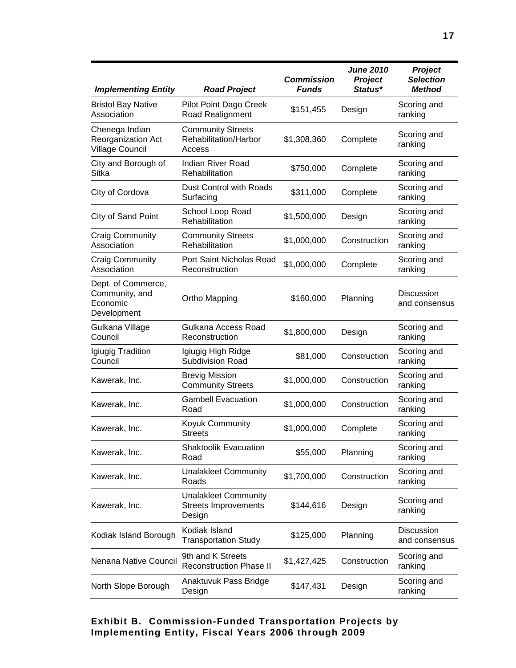| <b>Implementing Entity</b>                                            | <b>Road Project</b>                                                  | <b>Commission</b><br><b>Funds</b> | <b>June 2010</b><br>Project<br>Status* | <b>Project</b><br><b>Selection</b><br><b>Method</b> |
|-----------------------------------------------------------------------|----------------------------------------------------------------------|-----------------------------------|----------------------------------------|-----------------------------------------------------|
| <b>Bristol Bay Native</b><br>Association                              | Pilot Point Dago Creek<br>Road Realignment                           | \$151,455                         | Design                                 | Scoring and<br>ranking                              |
| Chenega Indian<br><b>Reorganization Act</b><br><b>Village Council</b> | <b>Community Streets</b><br>Rehabilitation/Harbor<br>Access          | \$1,308,360                       | Complete                               | Scoring and<br>ranking                              |
| City and Borough of<br>Sitka                                          | <b>Indian River Road</b><br>Rehabilitation                           | \$750,000                         | Complete                               | Scoring and<br>ranking                              |
| City of Cordova                                                       | Dust Control with Roads<br>Surfacing                                 | \$311,000                         | Complete                               | Scoring and<br>ranking                              |
| City of Sand Point                                                    | School Loop Road<br>Rehabilitation                                   | \$1,500,000                       | Design                                 | Scoring and<br>ranking                              |
| <b>Craig Community</b><br>Association                                 | <b>Community Streets</b><br>Rehabilitation                           | \$1,000,000                       | Construction                           | Scoring and<br>ranking                              |
| <b>Craig Community</b><br>Association                                 | Port Saint Nicholas Road<br>Reconstruction                           | \$1,000,000                       | Complete                               | Scoring and<br>ranking                              |
| Dept. of Commerce,<br>Community, and<br>Economic<br>Development       | Ortho Mapping                                                        | \$160,000                         | Planning                               | <b>Discussion</b><br>and consensus                  |
| Gulkana Village<br>Council                                            | Gulkana Access Road<br>Reconstruction                                | \$1,800,000                       | Design                                 | Scoring and<br>ranking                              |
| Igiugig Tradition<br>Council                                          | Igiugig High Ridge<br>Subdivision Road                               | \$81,000                          | Construction                           | Scoring and<br>ranking                              |
| Kawerak, Inc.                                                         | <b>Brevig Mission</b><br><b>Community Streets</b>                    | \$1,000,000                       | Construction                           | Scoring and<br>ranking                              |
| Kawerak, Inc.                                                         | <b>Gambell Evacuation</b><br>Road                                    | \$1,000,000                       | Construction                           | Scoring and<br>ranking                              |
| Kawerak, Inc.                                                         | Koyuk Community<br><b>Streets</b>                                    | \$1,000,000                       | Complete                               | Scoring and<br>ranking                              |
| Kawerak, Inc.                                                         | <b>Shaktoolik Evacuation</b><br>Road                                 | \$55,000                          | Planning                               | Scoring and<br>ranking                              |
| Kawerak, Inc.                                                         | <b>Unalakleet Community</b><br>Roads                                 | \$1,700,000                       | Construction                           | Scoring and<br>ranking                              |
| Kawerak, Inc.                                                         | <b>Unalakleet Community</b><br><b>Streets Improvements</b><br>Design | \$144,616                         | Design                                 | Scoring and<br>ranking                              |
| Kodiak Island Borough                                                 | Kodiak Island<br><b>Transportation Study</b>                         | \$125,000                         | Planning                               | Discussion<br>and consensus                         |
| Nenana Native Council                                                 | 9th and K Streets<br><b>Reconstruction Phase II</b>                  | \$1,427,425                       | Construction                           | Scoring and<br>ranking                              |
| North Slope Borough                                                   | Anaktuvuk Pass Bridge<br>Design                                      | \$147,431                         | Design                                 | Scoring and<br>ranking                              |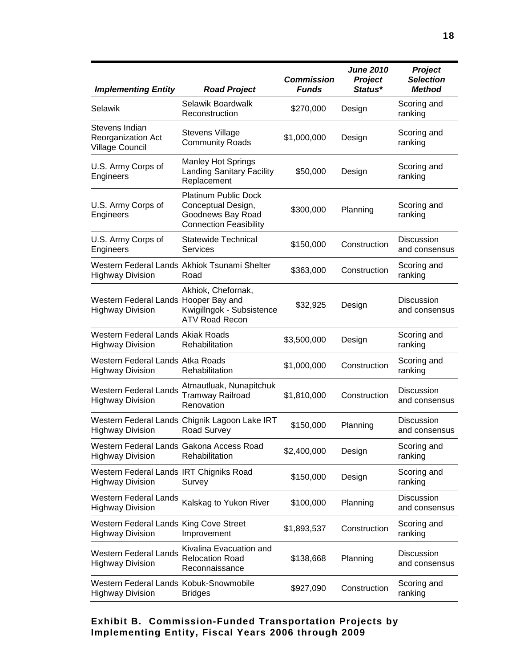| <b>Implementing Entity</b>                                          | <b>Road Project</b>                                                                                     | <b>Commission</b><br><b>Funds</b> | <b>June 2010</b><br><b>Project</b><br>Status* | <b>Project</b><br><b>Selection</b><br><b>Method</b> |
|---------------------------------------------------------------------|---------------------------------------------------------------------------------------------------------|-----------------------------------|-----------------------------------------------|-----------------------------------------------------|
| Selawik                                                             | Selawik Boardwalk<br>Reconstruction                                                                     | \$270,000                         | Design                                        | Scoring and<br>ranking                              |
| Stevens Indian<br>Reorganization Act<br>Village Council             | <b>Stevens Village</b><br><b>Community Roads</b>                                                        | \$1,000,000                       | Design                                        | Scoring and<br>ranking                              |
| U.S. Army Corps of<br>Engineers                                     | <b>Manley Hot Springs</b><br><b>Landing Sanitary Facility</b><br>Replacement                            | \$50,000                          | Design                                        | Scoring and<br>ranking                              |
| U.S. Army Corps of<br>Engineers                                     | <b>Platinum Public Dock</b><br>Conceptual Design,<br>Goodnews Bay Road<br><b>Connection Feasibility</b> | \$300,000                         | Planning                                      | Scoring and<br>ranking                              |
| U.S. Army Corps of<br>Engineers                                     | Statewide Technical<br><b>Services</b>                                                                  | \$150,000                         | Construction                                  | <b>Discussion</b><br>and consensus                  |
| <b>Highway Division</b>                                             | Western Federal Lands Akhiok Tsunami Shelter<br>Road                                                    | \$363,000                         | Construction                                  | Scoring and<br>ranking                              |
| Western Federal Lands Hooper Bay and<br><b>Highway Division</b>     | Akhiok, Chefornak,<br>Kwigillngok - Subsistence<br><b>ATV Road Recon</b>                                | \$32,925                          | Design                                        | <b>Discussion</b><br>and consensus                  |
| Western Federal Lands Akiak Roads<br><b>Highway Division</b>        | Rehabilitation                                                                                          | \$3,500,000                       | Design                                        | Scoring and<br>ranking                              |
| Western Federal Lands Atka Roads<br><b>Highway Division</b>         | Rehabilitation                                                                                          | \$1,000,000                       | Construction                                  | Scoring and<br>ranking                              |
| <b>Western Federal Lands</b><br><b>Highway Division</b>             | Atmautluak, Nunapitchuk<br>Tramway Railroad<br>Renovation                                               | \$1,810,000                       | Construction                                  | <b>Discussion</b><br>and consensus                  |
| <b>Highway Division</b>                                             | Western Federal Lands Chignik Lagoon Lake IRT<br>Road Survey                                            | \$150,000                         | Planning                                      | <b>Discussion</b><br>and consensus                  |
| Western Federal Lands Gakona Access Road<br><b>Highway Division</b> | Rehabilitation                                                                                          | \$2,400,000                       | Design                                        | Scoring and<br>ranking                              |
| Western Federal Lands IRT Chigniks Road<br><b>Highway Division</b>  | Survey                                                                                                  | \$150,000                         | Design                                        | Scoring and<br>ranking                              |
| Western Federal Lands<br><b>Highway Division</b>                    | Kalskag to Yukon River                                                                                  | \$100,000                         | Planning                                      | <b>Discussion</b><br>and consensus                  |
| Western Federal Lands King Cove Street<br><b>Highway Division</b>   | Improvement                                                                                             | \$1,893,537                       | Construction                                  | Scoring and<br>ranking                              |
| <b>Western Federal Lands</b><br><b>Highway Division</b>             | Kivalina Evacuation and<br><b>Relocation Road</b><br>Reconnaissance                                     | \$138,668                         | Planning                                      | <b>Discussion</b><br>and consensus                  |
| Western Federal Lands Kobuk-Snowmobile<br><b>Highway Division</b>   | <b>Bridges</b>                                                                                          | \$927,090                         | Construction                                  | Scoring and<br>ranking                              |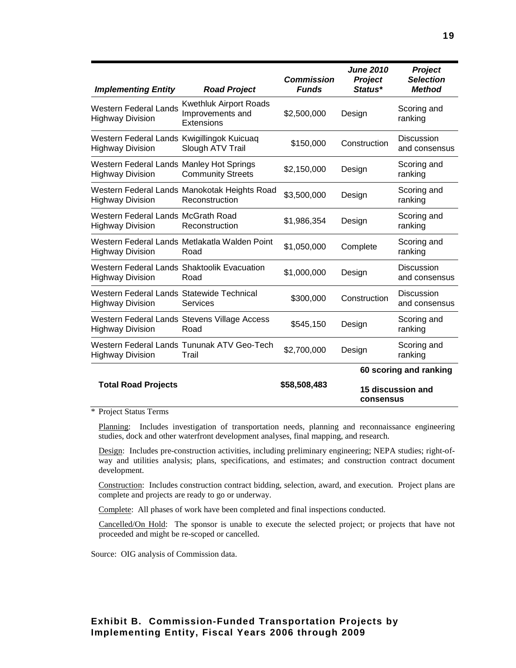| <b>Implementing Entity</b>                                             | <b>Road Project</b>                                             | <b>Commission</b><br><b>Funds</b> | <b>June 2010</b><br>Project<br>Status* | <b>Project</b><br><b>Selection</b><br><b>Method</b> |
|------------------------------------------------------------------------|-----------------------------------------------------------------|-----------------------------------|----------------------------------------|-----------------------------------------------------|
| <b>Western Federal Lands</b><br><b>Highway Division</b>                | <b>Kwethluk Airport Roads</b><br>Improvements and<br>Extensions | \$2,500,000                       | Design                                 | Scoring and<br>ranking                              |
| Western Federal Lands Kwigillingok Kuicuag<br><b>Highway Division</b>  | Slough ATV Trail                                                | \$150,000                         | Construction                           | <b>Discussion</b><br>and consensus                  |
| Western Federal Lands Manley Hot Springs<br><b>Highway Division</b>    | <b>Community Streets</b>                                        | \$2,150,000                       | Design                                 | Scoring and<br>ranking                              |
| <b>Highway Division</b>                                                | Western Federal Lands Manokotak Heights Road<br>Reconstruction  | \$3,500,000                       | Design                                 | Scoring and<br>ranking                              |
| Western Federal Lands McGrath Road<br><b>Highway Division</b>          | Reconstruction                                                  | \$1,986,354                       | Design                                 | Scoring and<br>ranking                              |
| <b>Highway Division</b>                                                | Western Federal Lands Metlakatla Walden Point<br>Road           | \$1,050,000                       | Complete                               | Scoring and<br>ranking                              |
| Western Federal Lands Shaktoolik Evacuation<br><b>Highway Division</b> | Road                                                            | \$1,000,000                       | Design                                 | <b>Discussion</b><br>and consensus                  |
| Western Federal Lands Statewide Technical<br><b>Highway Division</b>   | Services                                                        | \$300,000                         | Construction                           | <b>Discussion</b><br>and consensus                  |
| <b>Highway Division</b>                                                | Western Federal Lands Stevens Village Access<br>Road            | \$545,150                         | Design                                 | Scoring and<br>ranking                              |
| <b>Highway Division</b>                                                | Western Federal Lands Tununak ATV Geo-Tech<br>Trail             | \$2,700,000                       | Design                                 | Scoring and<br>ranking                              |
|                                                                        |                                                                 |                                   | 60 scoring and ranking                 |                                                     |
| <b>Total Road Projects</b>                                             |                                                                 | \$58,508,483                      | consensus                              | 15 discussion and                                   |

\* Project Status Terms

Planning: Includes investigation of transportation needs, planning and reconnaissance engineering studies, dock and other waterfront development analyses, final mapping, and research.

Design: Includes pre-construction activities, including preliminary engineering; NEPA studies; right-ofway and utilities analysis; plans, specifications, and estimates; and construction contract document development.

Construction: Includes construction contract bidding, selection, award, and execution. Project plans are complete and projects are ready to go or underway.

Complete: All phases of work have been completed and final inspections conducted.

Cancelled/On Hold: The sponsor is unable to execute the selected project; or projects that have not proceeded and might be re-scoped or cancelled.

Source: OIG analysis of Commission data.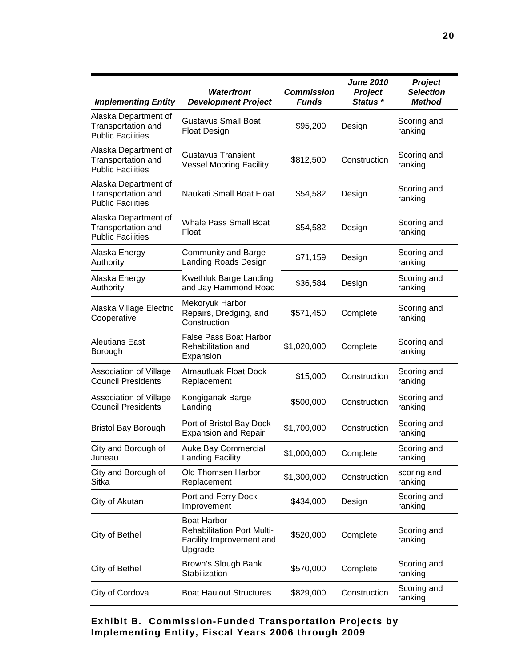| <b>Implementing Entity</b>                                             | <b>Waterfront</b><br><b>Development Project</b>                                                | <b>Commission</b><br><b>Funds</b> | <b>June 2010</b><br><b>Project</b><br>Status * | Project<br><b>Selection</b><br><b>Method</b> |
|------------------------------------------------------------------------|------------------------------------------------------------------------------------------------|-----------------------------------|------------------------------------------------|----------------------------------------------|
| Alaska Department of<br>Transportation and<br><b>Public Facilities</b> | <b>Gustavus Small Boat</b><br><b>Float Design</b>                                              | \$95,200                          | Design                                         | Scoring and<br>ranking                       |
| Alaska Department of<br>Transportation and<br><b>Public Facilities</b> | <b>Gustavus Transient</b><br><b>Vessel Mooring Facility</b>                                    | \$812,500                         | Construction                                   | Scoring and<br>ranking                       |
| Alaska Department of<br>Transportation and<br><b>Public Facilities</b> | Naukati Small Boat Float                                                                       | \$54,582                          | Design                                         | Scoring and<br>ranking                       |
| Alaska Department of<br>Transportation and<br><b>Public Facilities</b> | <b>Whale Pass Small Boat</b><br>Float                                                          | \$54,582                          | Design                                         | Scoring and<br>ranking                       |
| Alaska Energy<br>Authority                                             | <b>Community and Barge</b><br><b>Landing Roads Design</b>                                      | \$71,159                          | Design                                         | Scoring and<br>ranking                       |
| Alaska Energy<br>Authority                                             | Kwethluk Barge Landing<br>and Jay Hammond Road                                                 | \$36,584                          | Design                                         | Scoring and<br>ranking                       |
| Alaska Village Electric<br>Cooperative                                 | Mekoryuk Harbor<br>Repairs, Dredging, and<br>Construction                                      | \$571,450                         | Complete                                       | Scoring and<br>ranking                       |
| <b>Aleutians East</b><br>Borough                                       | <b>False Pass Boat Harbor</b><br>Rehabilitation and<br>Expansion                               | \$1,020,000                       | Complete                                       | Scoring and<br>ranking                       |
| Association of Village<br><b>Council Presidents</b>                    | <b>Atmautluak Float Dock</b><br>Replacement                                                    | \$15,000                          | Construction                                   | Scoring and<br>ranking                       |
| Association of Village<br><b>Council Presidents</b>                    | Kongiganak Barge<br>Landing                                                                    | \$500,000                         | Construction                                   | Scoring and<br>ranking                       |
| <b>Bristol Bay Borough</b>                                             | Port of Bristol Bay Dock<br><b>Expansion and Repair</b>                                        | \$1,700,000                       | Construction                                   | Scoring and<br>ranking                       |
| City and Borough of<br>Juneau                                          | Auke Bay Commercial<br><b>Landing Facility</b>                                                 | \$1,000,000                       | Complete                                       | Scoring and<br>ranking                       |
| City and Borough of<br>Sitka                                           | Old Thomsen Harbor<br>Replacement                                                              | \$1,300,000                       | Construction                                   | scoring and<br>ranking                       |
| City of Akutan                                                         | Port and Ferry Dock<br>Improvement                                                             | \$434,000                         | Design                                         | Scoring and<br>ranking                       |
| City of Bethel                                                         | <b>Boat Harbor</b><br><b>Rehabilitation Port Multi-</b><br>Facility Improvement and<br>Upgrade | \$520,000                         | Complete                                       | Scoring and<br>ranking                       |
| City of Bethel                                                         | Brown's Slough Bank<br>Stabilization                                                           | \$570,000                         | Complete                                       | Scoring and<br>ranking                       |
| City of Cordova                                                        | <b>Boat Haulout Structures</b>                                                                 | \$829,000                         | Construction                                   | Scoring and<br>ranking                       |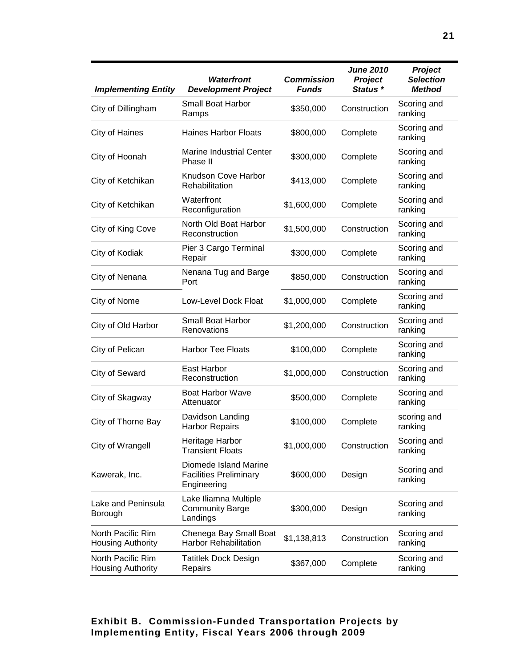| <b>Implementing Entity</b>                    | <b>Waterfront</b><br><b>Development Project</b>                       | <b>Commission</b><br><b>Funds</b> | <b>June 2010</b><br>Project<br>Status * | Project<br><b>Selection</b><br><b>Method</b> |
|-----------------------------------------------|-----------------------------------------------------------------------|-----------------------------------|-----------------------------------------|----------------------------------------------|
| City of Dillingham                            | Small Boat Harbor<br>Ramps                                            | \$350,000                         | Construction                            | Scoring and<br>ranking                       |
| City of Haines                                | <b>Haines Harbor Floats</b>                                           | \$800,000                         | Complete                                | Scoring and<br>ranking                       |
| City of Hoonah                                | <b>Marine Industrial Center</b><br>Phase II                           | \$300,000                         | Complete                                | Scoring and<br>ranking                       |
| City of Ketchikan                             | Knudson Cove Harbor<br>Rehabilitation                                 | \$413,000                         | Complete                                | Scoring and<br>ranking                       |
| City of Ketchikan                             | Waterfront<br>Reconfiguration                                         | \$1,600,000                       | Complete                                | Scoring and<br>ranking                       |
| City of King Cove                             | North Old Boat Harbor<br>Reconstruction                               | \$1,500,000                       | Construction                            | Scoring and<br>ranking                       |
| City of Kodiak                                | Pier 3 Cargo Terminal<br>Repair                                       | \$300,000                         | Complete                                | Scoring and<br>ranking                       |
| City of Nenana                                | Nenana Tug and Barge<br>Port                                          | \$850,000                         | Construction                            | Scoring and<br>ranking                       |
| City of Nome                                  | Low-Level Dock Float                                                  | \$1,000,000                       | Complete                                | Scoring and<br>ranking                       |
| City of Old Harbor                            | <b>Small Boat Harbor</b><br>Renovations                               | \$1,200,000                       | Construction                            | Scoring and<br>ranking                       |
| City of Pelican                               | <b>Harbor Tee Floats</b>                                              | \$100,000                         | Complete                                | Scoring and<br>ranking                       |
| City of Seward                                | East Harbor<br>Reconstruction                                         | \$1,000,000                       | Construction                            | Scoring and<br>ranking                       |
| City of Skagway                               | <b>Boat Harbor Wave</b><br>Attenuator                                 | \$500,000                         | Complete                                | Scoring and<br>ranking                       |
| City of Thorne Bay                            | Davidson Landing<br><b>Harbor Repairs</b>                             | \$100,000                         | Complete                                | scoring and<br>ranking                       |
| City of Wrangell                              | Heritage Harbor<br><b>Transient Floats</b>                            | \$1,000,000                       | Construction                            | Scoring and<br>ranking                       |
| Kawerak, Inc.                                 | Diomede Island Marine<br><b>Facilities Preliminary</b><br>Engineering | \$600,000                         | Design                                  | Scoring and<br>ranking                       |
| Lake and Peninsula<br>Borough                 | Lake Iliamna Multiple<br><b>Community Barge</b><br>Landings           | \$300,000                         | Design                                  | Scoring and<br>ranking                       |
| North Pacific Rim<br><b>Housing Authority</b> | Chenega Bay Small Boat<br><b>Harbor Rehabilitation</b>                | \$1,138,813                       | Construction                            | Scoring and<br>ranking                       |
| North Pacific Rim<br><b>Housing Authority</b> | Tatitlek Dock Design<br>Repairs                                       | \$367,000                         | Complete                                | Scoring and<br>ranking                       |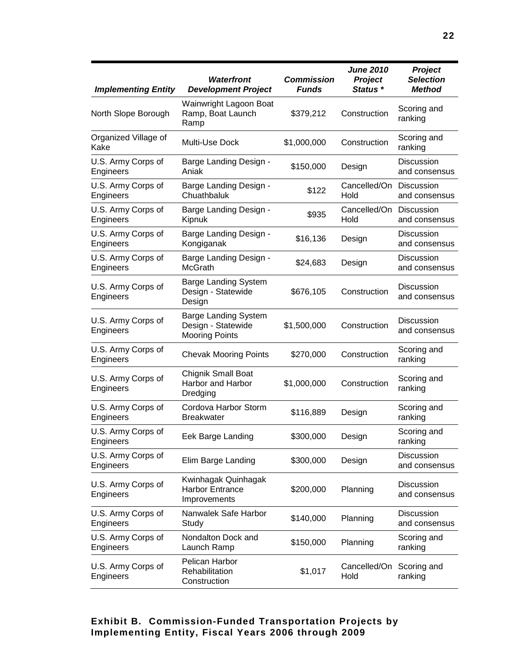| <b>Implementing Entity</b>      | <b>Waterfront</b><br><b>Development Project</b>                            | <b>Commission</b><br><b>Funds</b> | <b>June 2010</b><br><b>Project</b><br>Status <sup>*</sup> | Project<br><b>Selection</b><br><b>Method</b> |
|---------------------------------|----------------------------------------------------------------------------|-----------------------------------|-----------------------------------------------------------|----------------------------------------------|
| North Slope Borough             | Wainwright Lagoon Boat<br>Ramp, Boat Launch<br>Ramp                        | \$379,212                         | Construction                                              | Scoring and<br>ranking                       |
| Organized Village of<br>Kake    | Multi-Use Dock                                                             | \$1,000,000                       | Construction                                              | Scoring and<br>ranking                       |
| U.S. Army Corps of<br>Engineers | Barge Landing Design -<br>Aniak                                            | \$150,000                         | Design                                                    | <b>Discussion</b><br>and consensus           |
| U.S. Army Corps of<br>Engineers | Barge Landing Design -<br>Chuathbaluk                                      | \$122                             | Cancelled/On<br>Hold                                      | <b>Discussion</b><br>and consensus           |
| U.S. Army Corps of<br>Engineers | Barge Landing Design -<br>Kipnuk                                           | \$935                             | Cancelled/On Discussion<br>Hold                           | and consensus                                |
| U.S. Army Corps of<br>Engineers | Barge Landing Design -<br>Kongiganak                                       | \$16,136                          | Design                                                    | Discussion<br>and consensus                  |
| U.S. Army Corps of<br>Engineers | Barge Landing Design -<br><b>McGrath</b>                                   | \$24,683                          | Design                                                    | <b>Discussion</b><br>and consensus           |
| U.S. Army Corps of<br>Engineers | <b>Barge Landing System</b><br>Design - Statewide<br>Design                | \$676,105                         | Construction                                              | <b>Discussion</b><br>and consensus           |
| U.S. Army Corps of<br>Engineers | <b>Barge Landing System</b><br>Design - Statewide<br><b>Mooring Points</b> | \$1,500,000                       | Construction                                              | <b>Discussion</b><br>and consensus           |
| U.S. Army Corps of<br>Engineers | <b>Chevak Mooring Points</b>                                               | \$270,000                         | Construction                                              | Scoring and<br>ranking                       |
| U.S. Army Corps of<br>Engineers | Chignik Small Boat<br>Harbor and Harbor<br>Dredging                        | \$1,000,000                       | Construction                                              | Scoring and<br>ranking                       |
| U.S. Army Corps of<br>Engineers | Cordova Harbor Storm<br><b>Breakwater</b>                                  | \$116,889                         | Design                                                    | Scoring and<br>ranking                       |
| U.S. Army Corps of<br>Engineers | Eek Barge Landing                                                          | \$300,000                         | Design                                                    | Scoring and<br>ranking                       |
| U.S. Army Corps of<br>Engineers | Elim Barge Landing                                                         | \$300,000                         | Design                                                    | <b>Discussion</b><br>and consensus           |
| U.S. Army Corps of<br>Engineers | Kwinhagak Quinhagak<br><b>Harbor Entrance</b><br>Improvements              | \$200,000                         | Planning                                                  | Discussion<br>and consensus                  |
| U.S. Army Corps of<br>Engineers | Nanwalek Safe Harbor<br>Study                                              | \$140,000                         | Planning                                                  | Discussion<br>and consensus                  |
| U.S. Army Corps of<br>Engineers | Nondalton Dock and<br>Launch Ramp                                          | \$150,000                         | Planning                                                  | Scoring and<br>ranking                       |
| U.S. Army Corps of<br>Engineers | Pelican Harbor<br>Rehabilitation<br>Construction                           | \$1,017                           | Cancelled/On<br>Hold                                      | Scoring and<br>ranking                       |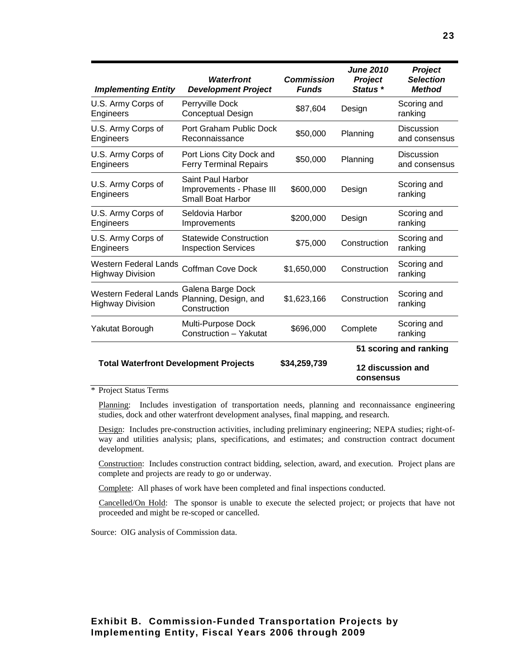| <b>Implementing Entity</b>                              | <b>Waterfront</b><br><b>Development Project</b>                           | <b>Commission</b><br><b>Funds</b> | <b>June 2010</b><br>Project<br>Status * | <b>Project</b><br><b>Selection</b><br><b>Method</b> |
|---------------------------------------------------------|---------------------------------------------------------------------------|-----------------------------------|-----------------------------------------|-----------------------------------------------------|
| U.S. Army Corps of<br>Engineers                         | Perryville Dock<br><b>Conceptual Design</b>                               | \$87,604                          | Design                                  | Scoring and<br>ranking                              |
| U.S. Army Corps of<br>Engineers                         | Port Graham Public Dock<br>Reconnaissance                                 | \$50,000                          | Planning                                | <b>Discussion</b><br>and consensus                  |
| U.S. Army Corps of<br>Engineers                         | Port Lions City Dock and<br><b>Ferry Terminal Repairs</b>                 | \$50,000                          | Planning                                | Discussion<br>and consensus                         |
| U.S. Army Corps of<br>Engineers                         | Saint Paul Harbor<br>Improvements - Phase III<br><b>Small Boat Harbor</b> | \$600,000                         | Design                                  | Scoring and<br>ranking                              |
| U.S. Army Corps of<br>Engineers                         | Seldovia Harbor<br>Improvements                                           | \$200,000                         | Design                                  | Scoring and<br>ranking                              |
| U.S. Army Corps of<br>Engineers                         | <b>Statewide Construction</b><br><b>Inspection Services</b>               | \$75,000                          | Construction                            | Scoring and<br>ranking                              |
| <b>Western Federal Lands</b><br><b>Highway Division</b> | Coffman Cove Dock                                                         | \$1,650,000                       | Construction                            | Scoring and<br>ranking                              |
| Western Federal Lands<br><b>Highway Division</b>        | Galena Barge Dock<br>Planning, Design, and<br>Construction                | \$1,623,166                       | Construction                            | Scoring and<br>ranking                              |
| Yakutat Borough                                         | Multi-Purpose Dock<br>Construction - Yakutat                              | \$696,000                         | Complete                                | Scoring and<br>ranking                              |
| <b>Total Waterfront Development Projects</b>            |                                                                           | 51 scoring and ranking            |                                         |                                                     |
|                                                         |                                                                           | \$34,259,739                      | 12 discussion and<br>consensus          |                                                     |

#### \* Project Status Terms

Planning: Includes investigation of transportation needs, planning and reconnaissance engineering studies, dock and other waterfront development analyses, final mapping, and research.

Design: Includes pre-construction activities, including preliminary engineering; NEPA studies; right-ofway and utilities analysis; plans, specifications, and estimates; and construction contract document development.

Construction: Includes construction contract bidding, selection, award, and execution. Project plans are complete and projects are ready to go or underway.

Complete: All phases of work have been completed and final inspections conducted.

Cancelled/On Hold: The sponsor is unable to execute the selected project; or projects that have not proceeded and might be re-scoped or cancelled.

Source: OIG analysis of Commission data.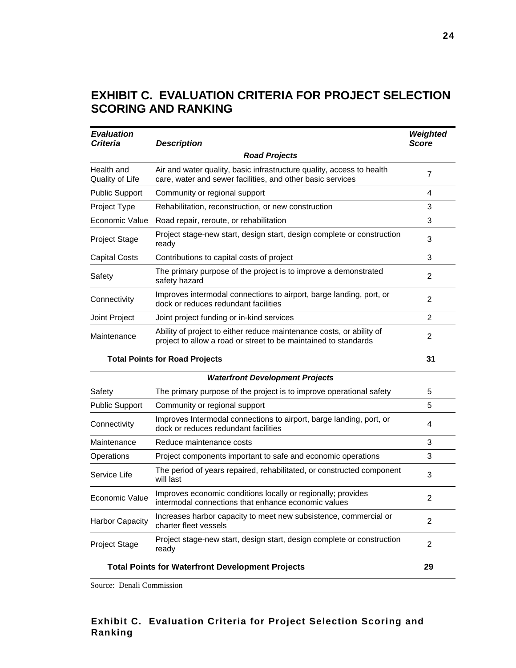## **EXHIBIT C. EVALUATION CRITERIA FOR PROJECT SELECTION SCORING AND RANKING**

| <b>Evaluation</b><br><b>Criteria</b>  | <b>Description</b>                                                                                                                      | Weighted<br><b>Score</b> |  |  |
|---------------------------------------|-----------------------------------------------------------------------------------------------------------------------------------------|--------------------------|--|--|
| <b>Road Projects</b>                  |                                                                                                                                         |                          |  |  |
| Health and<br>Quality of Life         | Air and water quality, basic infrastructure quality, access to health<br>care, water and sewer facilities, and other basic services     | $\overline{7}$           |  |  |
| <b>Public Support</b>                 | Community or regional support                                                                                                           | 4                        |  |  |
| Project Type                          | Rehabilitation, reconstruction, or new construction                                                                                     | 3                        |  |  |
| Economic Value                        | Road repair, reroute, or rehabilitation                                                                                                 | 3                        |  |  |
| <b>Project Stage</b>                  | Project stage-new start, design start, design complete or construction<br>ready                                                         | 3                        |  |  |
| Capital Costs                         | Contributions to capital costs of project                                                                                               | 3                        |  |  |
| Safety                                | The primary purpose of the project is to improve a demonstrated<br>safety hazard                                                        | 2                        |  |  |
| Connectivity                          | Improves intermodal connections to airport, barge landing, port, or<br>dock or reduces redundant facilities                             | $\overline{c}$           |  |  |
| Joint Project                         | Joint project funding or in-kind services                                                                                               | 2                        |  |  |
| Maintenance                           | Ability of project to either reduce maintenance costs, or ability of<br>project to allow a road or street to be maintained to standards | 2                        |  |  |
| <b>Total Points for Road Projects</b> |                                                                                                                                         |                          |  |  |
|                                       | <b>Waterfront Development Projects</b>                                                                                                  |                          |  |  |
| Safety                                | The primary purpose of the project is to improve operational safety                                                                     | 5                        |  |  |
| <b>Public Support</b>                 | Community or regional support                                                                                                           | 5                        |  |  |
| Connectivity                          | Improves Intermodal connections to airport, barge landing, port, or<br>dock or reduces redundant facilities                             | 4                        |  |  |
| Maintenance                           | Reduce maintenance costs                                                                                                                | 3                        |  |  |
| Operations                            | Project components important to safe and economic operations                                                                            | 3                        |  |  |
| Service Life                          | The period of years repaired, rehabilitated, or constructed component<br>will last                                                      | 3                        |  |  |
| Economic Value                        | Improves economic conditions locally or regionally; provides<br>intermodal connections that enhance economic values                     | 2                        |  |  |
| <b>Harbor Capacity</b>                | Increases harbor capacity to meet new subsistence, commercial or<br>charter fleet vessels                                               | 2                        |  |  |
| <b>Project Stage</b>                  | Project stage-new start, design start, design complete or construction<br>ready                                                         | 2                        |  |  |
|                                       | <b>Total Points for Waterfront Development Projects</b>                                                                                 | 29                       |  |  |

Source: Denali Commission

#### **Exhibit C. Evaluation Criteria for Project Selection Scoring and Ranking**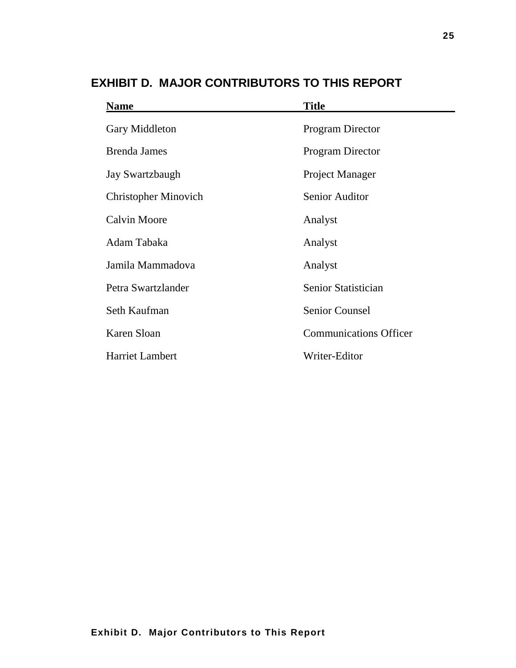| <b>Name</b>                 | <b>Title</b>                  |  |
|-----------------------------|-------------------------------|--|
| Gary Middleton              | <b>Program Director</b>       |  |
| <b>Brenda James</b>         | <b>Program Director</b>       |  |
| Jay Swartzbaugh             | Project Manager               |  |
| <b>Christopher Minovich</b> | <b>Senior Auditor</b>         |  |
| <b>Calvin Moore</b>         | Analyst                       |  |
| Adam Tabaka                 | Analyst                       |  |
| Jamila Mammadova            | Analyst                       |  |
| Petra Swartzlander          | Senior Statistician           |  |
| Seth Kaufman                | <b>Senior Counsel</b>         |  |
| Karen Sloan                 | <b>Communications Officer</b> |  |
| <b>Harriet Lambert</b>      | Writer-Editor                 |  |

## **EXHIBIT D. MAJOR CONTRIBUTORS TO THIS REPORT**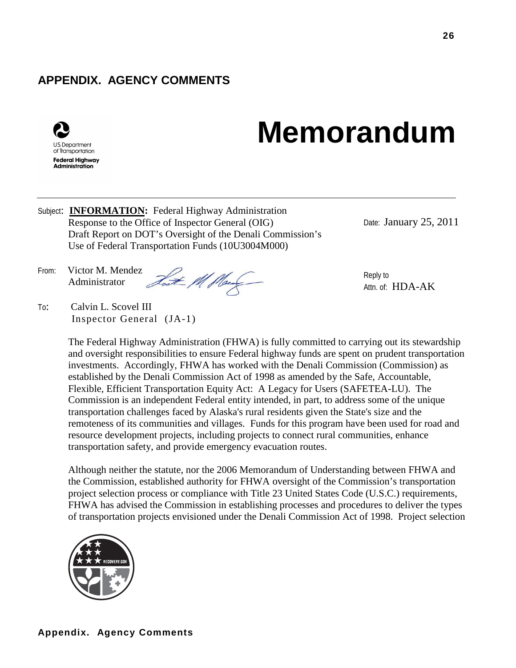# **Appendix. Agency Comments**

# **APPENDIX. AGENCY COMMENTS**



# **Memorandum**

Subject: **INFORMATION:** Federal Highway Administration Response to the Office of Inspector General (OIG) Draft Report on DOT's Oversight of the Denali Commission's Use of Federal Transportation Funds (10U3004M000)

Date: January 25, 2011

From: Victor M. Mendez<br>Administrator Tout Mont Administrator

To: Calvin L. Scovel III Inspector General (JA-1) Reply to Attn. of: HDA-AK

The Federal Highway Administration (FHWA) is fully committed to carrying out its stewardship and oversight responsibilities to ensure Federal highway funds are spent on prudent transportation investments. Accordingly, FHWA has worked with the Denali Commission (Commission) as established by the Denali Commission Act of 1998 as amended by the Safe, Accountable, Flexible, Efficient Transportation Equity Act: A Legacy for Users (SAFETEA-LU). The Commission is an independent Federal entity intended, in part, to address some of the unique transportation challenges faced by Alaska's rural residents given the State's size and the remoteness of its communities and villages. Funds for this program have been used for road and resource development projects, including projects to connect rural communities, enhance transportation safety, and provide emergency evacuation routes.

Although neither the statute, nor the 2006 Memorandum of Understanding between FHWA and the Commission, established authority for FHWA oversight of the Commission's transportation project selection process or compliance with Title 23 United States Code (U.S.C.) requirements, FHWA has advised the Commission in establishing processes and procedures to deliver the types of transportation projects envisioned under the Denali Commission Act of 1998. Project selection

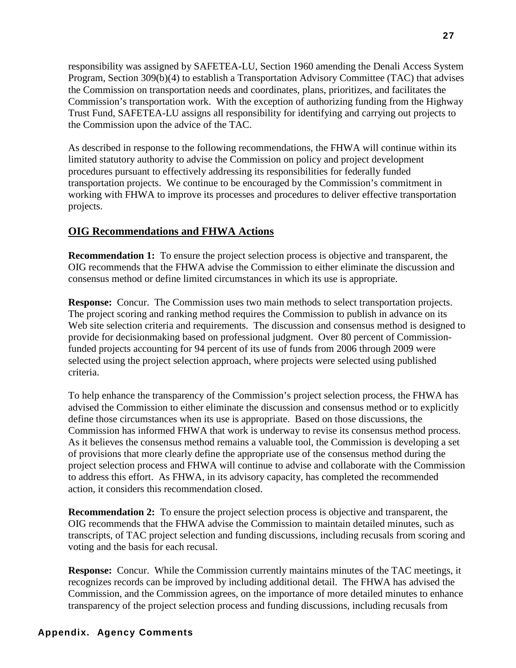responsibility was assigned by SAFETEA-LU, Section 1960 amending the Denali Access System Program, Section 309(b)(4) to establish a Transportation Advisory Committee (TAC) that advises the Commission on transportation needs and coordinates, plans, prioritizes, and facilitates the Commission's transportation work. With the exception of authorizing funding from the Highway Trust Fund, SAFETEA-LU assigns all responsibility for identifying and carrying out projects to the Commission upon the advice of the TAC.

As described in response to the following recommendations, the FHWA will continue within its limited statutory authority to advise the Commission on policy and project development procedures pursuant to effectively addressing its responsibilities for federally funded transportation projects. We continue to be encouraged by the Commission's commitment in working with FHWA to improve its processes and procedures to deliver effective transportation projects.

### **OIG Recommendations and FHWA Actions**

**Recommendation 1:** To ensure the project selection process is objective and transparent, the OIG recommends that the FHWA advise the Commission to either eliminate the discussion and consensus method or define limited circumstances in which its use is appropriate.

**Response:** Concur.The Commission uses two main methods to select transportation projects. The project scoring and ranking method requires the Commission to publish in advance on its Web site selection criteria and requirements. The discussion and consensus method is designed to provide for decisionmaking based on professional judgment. Over 80 percent of Commissionfunded projects accounting for 94 percent of its use of funds from 2006 through 2009 were selected using the project selection approach, where projects were selected using published criteria.

To help enhance the transparency of the Commission's project selection process, the FHWA has advised the Commission to either eliminate the discussion and consensus method or to explicitly define those circumstances when its use is appropriate. Based on those discussions, the Commission has informed FHWA that work is underway to revise its consensus method process. As it believes the consensus method remains a valuable tool, the Commission is developing a set of provisions that more clearly define the appropriate use of the consensus method during the project selection process and FHWA will continue to advise and collaborate with the Commission to address this effort. As FHWA, in its advisory capacity, has completed the recommended action, it considers this recommendation closed.

**Recommendation 2:** To ensure the project selection process is objective and transparent, the OIG recommends that the FHWA advise the Commission to maintain detailed minutes, such as transcripts, of TAC project selection and funding discussions, including recusals from scoring and voting and the basis for each recusal.

**Response:** Concur. While the Commission currently maintains minutes of the TAC meetings, it recognizes records can be improved by including additional detail. The FHWA has advised the Commission, and the Commission agrees, on the importance of more detailed minutes to enhance transparency of the project selection process and funding discussions, including recusals from

#### **Appendix. Agency Comments**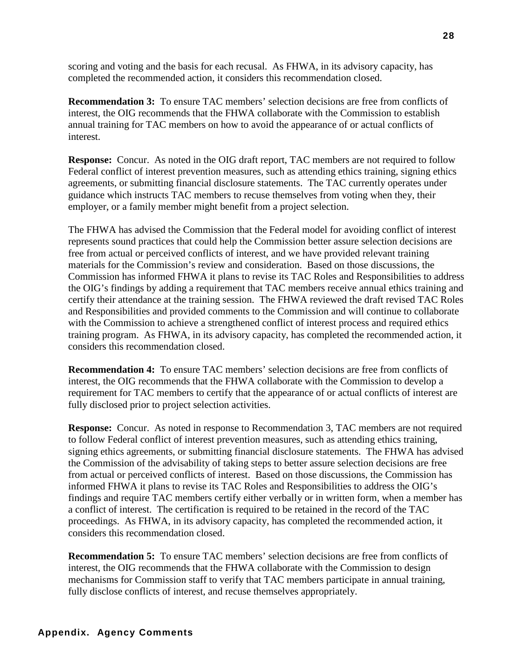scoring and voting and the basis for each recusal. As FHWA, in its advisory capacity, has completed the recommended action, it considers this recommendation closed.

**Recommendation 3:** To ensure TAC members' selection decisions are free from conflicts of interest, the OIG recommends that the FHWA collaborate with the Commission to establish annual training for TAC members on how to avoid the appearance of or actual conflicts of interest.

**Response:** Concur.As noted in the OIG draft report, TAC members are not required to follow Federal conflict of interest prevention measures, such as attending ethics training, signing ethics agreements, or submitting financial disclosure statements. The TAC currently operates under guidance which instructs TAC members to recuse themselves from voting when they, their employer, or a family member might benefit from a project selection.

The FHWA has advised the Commission that the Federal model for avoiding conflict of interest represents sound practices that could help the Commission better assure selection decisions are free from actual or perceived conflicts of interest, and we have provided relevant training materials for the Commission's review and consideration. Based on those discussions, the Commission has informed FHWA it plans to revise its TAC Roles and Responsibilities to address the OIG's findings by adding a requirement that TAC members receive annual ethics training and certify their attendance at the training session. The FHWA reviewed the draft revised TAC Roles and Responsibilities and provided comments to the Commission and will continue to collaborate with the Commission to achieve a strengthened conflict of interest process and required ethics training program. As FHWA, in its advisory capacity, has completed the recommended action, it considers this recommendation closed.

**Recommendation 4:** To ensure TAC members' selection decisions are free from conflicts of interest, the OIG recommends that the FHWA collaborate with the Commission to develop a requirement for TAC members to certify that the appearance of or actual conflicts of interest are fully disclosed prior to project selection activities.

**Response:** Concur.As noted in response to Recommendation 3, TAC members are not required to follow Federal conflict of interest prevention measures, such as attending ethics training, signing ethics agreements, or submitting financial disclosure statements. The FHWA has advised the Commission of the advisability of taking steps to better assure selection decisions are free from actual or perceived conflicts of interest. Based on those discussions, the Commission has informed FHWA it plans to revise its TAC Roles and Responsibilities to address the OIG's findings and require TAC members certify either verbally or in written form, when a member has a conflict of interest. The certification is required to be retained in the record of the TAC proceedings. As FHWA, in its advisory capacity, has completed the recommended action, it considers this recommendation closed.

**Recommendation 5:** To ensure TAC members' selection decisions are free from conflicts of interest, the OIG recommends that the FHWA collaborate with the Commission to design mechanisms for Commission staff to verify that TAC members participate in annual training, fully disclose conflicts of interest, and recuse themselves appropriately.